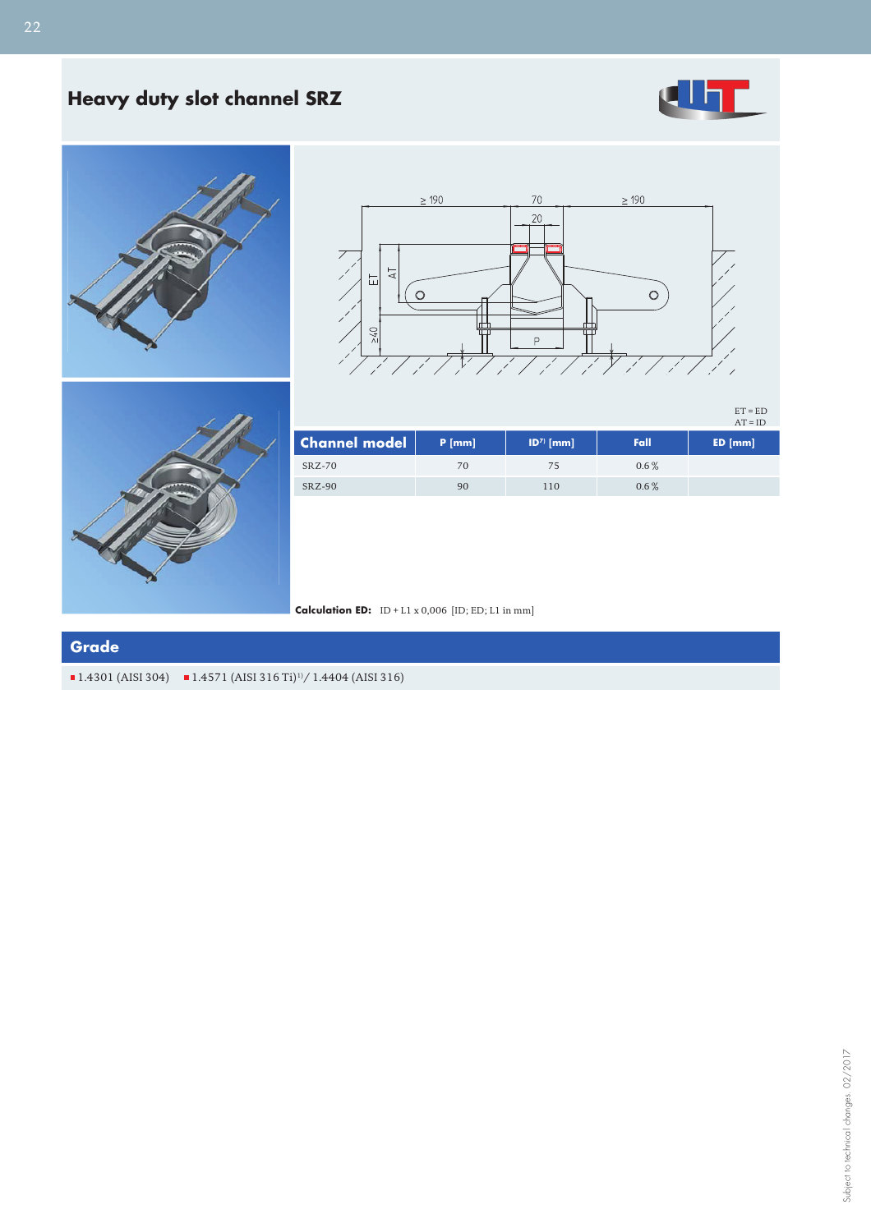## **Heavy duty slot channel SRZ**







ET = ED AT = ID



| <b>Channel model</b> | $P$ [mm] | $ D^7\rangle$ [mm] | Fall    | ED [mm] |
|----------------------|----------|--------------------|---------|---------|
| $SRZ-70$             | 70       |                    | $0.6\%$ |         |
| $SRZ-90$             | 90       | 110                | $0.6\%$ |         |

**Calculation ED:** ID + L1 x 0,006 [ID; ED; L1 in mm]

## **Grade**

 $\blacksquare$  1.4301 (AISI 304)  $\blacksquare$  1.4571 (AISI 316 Ti)<sup>1)</sup>/ 1.4404 (AISI 316)